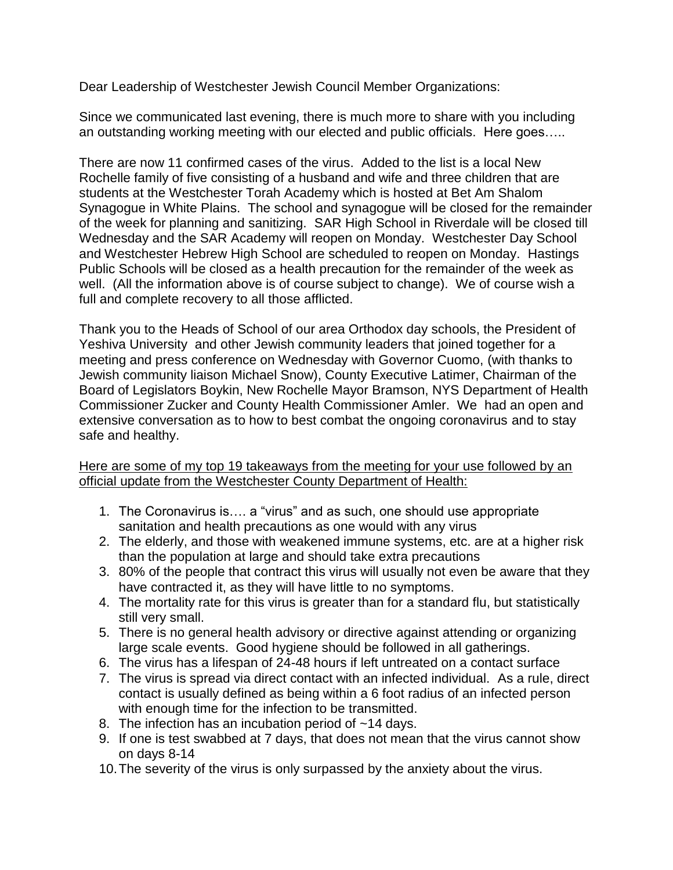Dear Leadership of Westchester Jewish Council Member Organizations:

Since we communicated last evening, there is much more to share with you including an outstanding working meeting with our elected and public officials. Here goes…..

There are now 11 confirmed cases of the virus. Added to the list is a local New Rochelle family of five consisting of a husband and wife and three children that are students at the Westchester Torah Academy which is hosted at Bet Am Shalom Synagogue in White Plains. The school and synagogue will be closed for the remainder of the week for planning and sanitizing. SAR High School in Riverdale will be closed till Wednesday and the SAR Academy will reopen on Monday. Westchester Day School and Westchester Hebrew High School are scheduled to reopen on Monday. Hastings Public Schools will be closed as a health precaution for the remainder of the week as well. (All the information above is of course subject to change). We of course wish a full and complete recovery to all those afflicted.

Thank you to the Heads of School of our area Orthodox day schools, the President of Yeshiva University and other Jewish community leaders that joined together for a meeting and press conference on Wednesday with Governor Cuomo, (with thanks to Jewish community liaison Michael Snow), County Executive Latimer, Chairman of the Board of Legislators Boykin, New Rochelle Mayor Bramson, NYS Department of Health Commissioner Zucker and County Health Commissioner Amler. We had an open and extensive conversation as to how to best combat the ongoing coronavirus and to stay safe and healthy.

Here are some of my top 19 takeaways from the meeting for your use followed by an official update from the Westchester County Department of Health:

- 1. The Coronavirus is…. a "virus" and as such, one should use appropriate sanitation and health precautions as one would with any virus
- 2. The elderly, and those with weakened immune systems, etc. are at a higher risk than the population at large and should take extra precautions
- 3. 80% of the people that contract this virus will usually not even be aware that they have contracted it, as they will have little to no symptoms.
- 4. The mortality rate for this virus is greater than for a standard flu, but statistically still very small.
- 5. There is no general health advisory or directive against attending or organizing large scale events. Good hygiene should be followed in all gatherings.
- 6. The virus has a lifespan of 24-48 hours if left untreated on a contact surface
- 7. The virus is spread via direct contact with an infected individual. As a rule, direct contact is usually defined as being within a 6 foot radius of an infected person with enough time for the infection to be transmitted.
- 8. The infection has an incubation period of ~14 days.
- 9. If one is test swabbed at 7 days, that does not mean that the virus cannot show on days 8-14
- 10.The severity of the virus is only surpassed by the anxiety about the virus.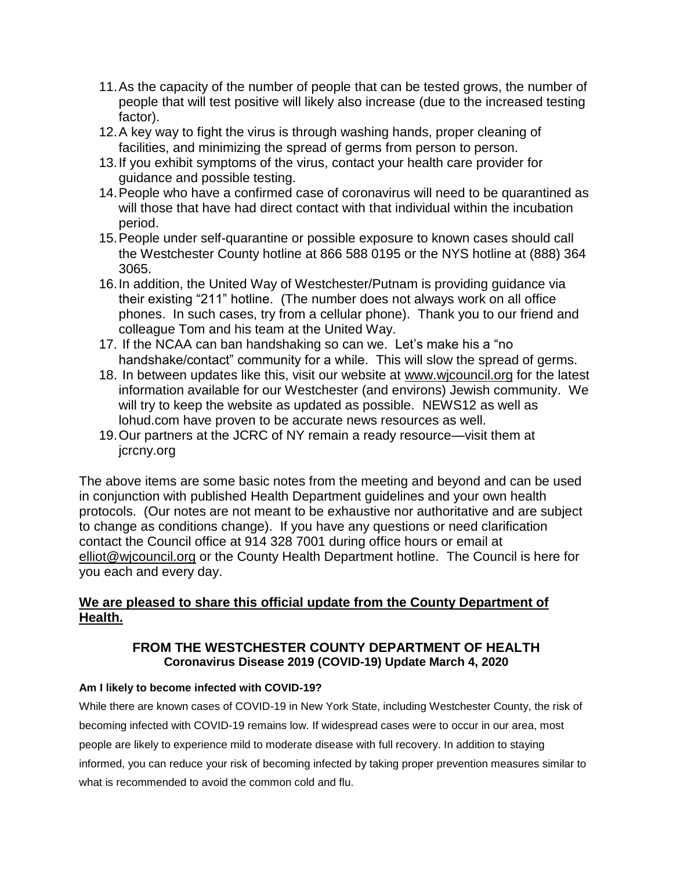- 11.As the capacity of the number of people that can be tested grows, the number of people that will test positive will likely also increase (due to the increased testing factor).
- 12.A key way to fight the virus is through washing hands, proper cleaning of facilities, and minimizing the spread of germs from person to person.
- 13.If you exhibit symptoms of the virus, contact your health care provider for guidance and possible testing.
- 14.People who have a confirmed case of coronavirus will need to be quarantined as will those that have had direct contact with that individual within the incubation period.
- 15.People under self-quarantine or possible exposure to known cases should call the Westchester County hotline at 866 588 0195 or the NYS hotline at (888) 364 3065.
- 16.In addition, the United Way of Westchester/Putnam is providing guidance via their existing "211" hotline. (The number does not always work on all office phones. In such cases, try from a cellular phone). Thank you to our friend and colleague Tom and his team at the United Way.
- 17. If the NCAA can ban handshaking so can we. Let's make his a "no handshake/contact" community for a while. This will slow the spread of germs.
- 18. In between updates like this, visit our website at [www.wjcouncil.org](http://www.wjcouncil.org/) for the latest information available for our Westchester (and environs) Jewish community. We will try to keep the website as updated as possible. NEWS12 as well as lohud.com have proven to be accurate news resources as well.
- 19.Our partners at the JCRC of NY remain a ready resource—visit them at jcrcny.org

The above items are some basic notes from the meeting and beyond and can be used in conjunction with published Health Department guidelines and your own health protocols. (Our notes are not meant to be exhaustive nor authoritative and are subject to change as conditions change). If you have any questions or need clarification contact the Council office at 914 328 7001 during office hours or email at [elliot@wjcouncil.org](mailto:elliot@wjcouncil.org) or the County Health Department hotline. The Council is here for you each and every day.

# **We are pleased to share this official update from the County Department of Health.**

## **FROM THE WESTCHESTER COUNTY DEPARTMENT OF HEALTH Coronavirus Disease 2019 (COVID-19) Update March 4, 2020**

## **Am I likely to become infected with COVID-19?**

While there are known cases of COVID-19 in New York State, including Westchester County, the risk of becoming infected with COVID-19 remains low. If widespread cases were to occur in our area, most people are likely to experience mild to moderate disease with full recovery. In addition to staying informed, you can reduce your risk of becoming infected by taking proper prevention measures similar to what is recommended to avoid the common cold and flu.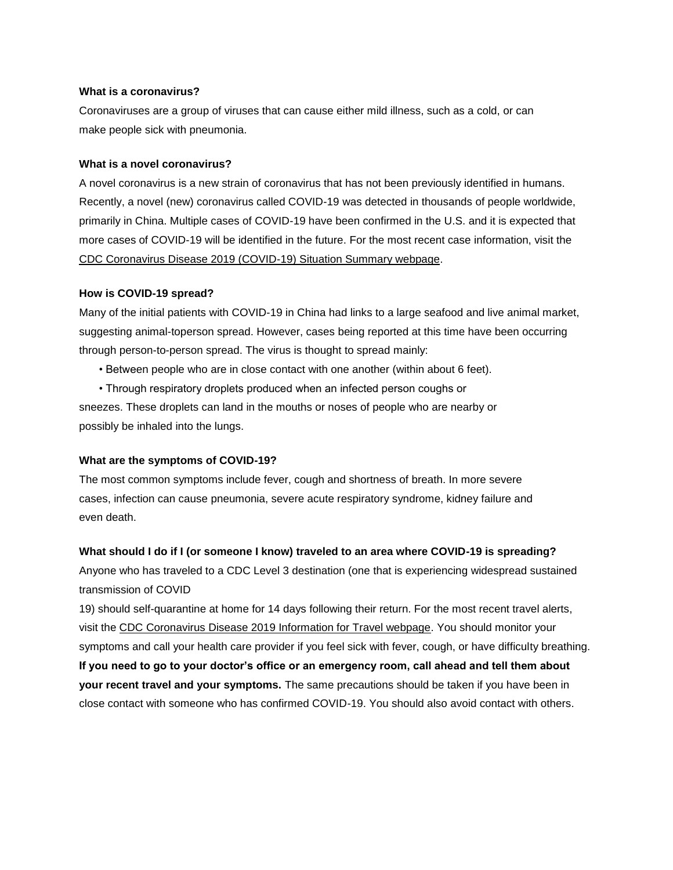#### **What is a coronavirus?**

Coronaviruses are a group of viruses that can cause either mild illness, such as a cold, or can make people sick with pneumonia.

#### **What is a novel coronavirus?**

A novel coronavirus is a new strain of coronavirus that has not been previously identified in humans. Recently, a novel (new) coronavirus called COVID-19 was detected in thousands of people worldwide, primarily in China. Multiple cases of COVID-19 have been confirmed in the U.S. and it is expected that more cases of COVID-19 will be identified in the future. For the most recent case information, visit the CDC Coronavirus Disease 2019 (COVID-19) Situation Summary webpage.

#### **How is COVID-19 spread?**

Many of the initial patients with COVID-19 in China had links to a large seafood and live animal market, suggesting animal-toperson spread. However, cases being reported at this time have been occurring through person-to-person spread. The virus is thought to spread mainly:

- Between people who are in close contact with one another (within about 6 feet).
- Through respiratory droplets produced when an infected person coughs or sneezes. These droplets can land in the mouths or noses of people who are nearby or possibly be inhaled into the lungs.

### **What are the symptoms of COVID-19?**

The most common symptoms include fever, cough and shortness of breath. In more severe cases, infection can cause pneumonia, severe acute respiratory syndrome, kidney failure and even death.

### **What should I do if I (or someone I know) traveled to an area where COVID-19 is spreading?**

Anyone who has traveled to a CDC Level 3 destination (one that is experiencing widespread sustained transmission of COVID

19) should self-quarantine at home for 14 days following their return. For the most recent travel alerts, visit the CDC Coronavirus Disease 2019 Information for Travel webpage. You should monitor your symptoms and call your health care provider if you feel sick with fever, cough, or have difficulty breathing. **If you need to go to your doctor's office or an emergency room, call ahead and tell them about your recent travel and your symptoms.** The same precautions should be taken if you have been in close contact with someone who has confirmed COVID-19. You should also avoid contact with others.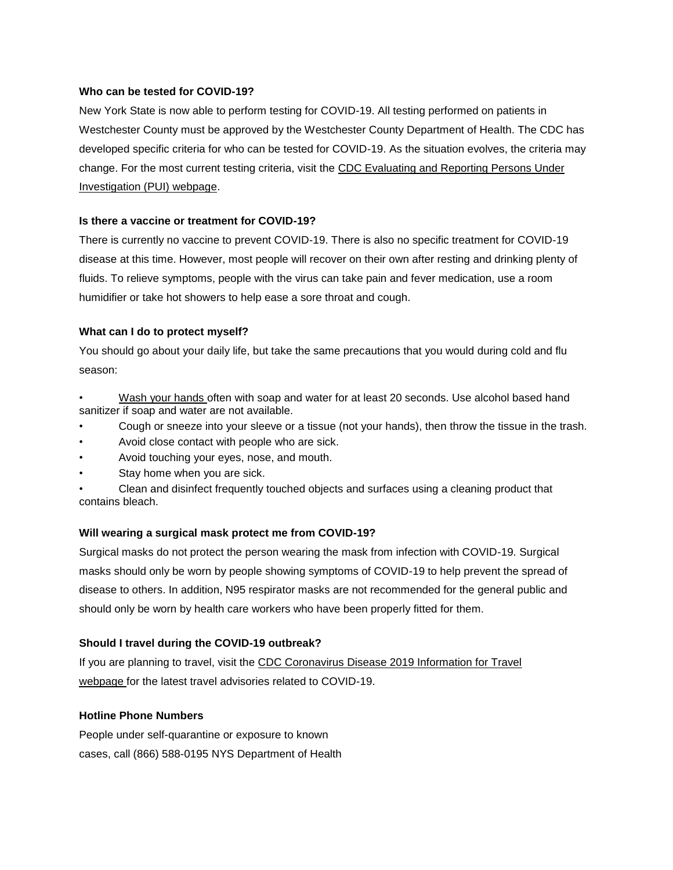## **Who can be tested for COVID-19?**

New York State is now able to perform testing for COVID-19. All testing performed on patients in Westchester County must be approved by the Westchester County Department of Health. The CDC has developed specific criteria for who can be tested for COVID-19. As the situation evolves, the criteria may change. For the most current testing criteria, visit the CDC Evaluating and Reporting Persons Under Investigation (PUI) webpage.

## **Is there a vaccine or treatment for COVID-19?**

There is currently no vaccine to prevent COVID-19. There is also no specific treatment for COVID-19 disease at this time. However, most people will recover on their own after resting and drinking plenty of fluids. To relieve symptoms, people with the virus can take pain and fever medication, use a room humidifier or take hot showers to help ease a sore throat and cough.

## **What can I do to protect myself?**

You should go about your daily life, but take the same precautions that you would during cold and flu season:

- Wash your hands often with soap and water for at least 20 seconds. Use alcohol based hand sanitizer if soap and water are not available.
- Cough or sneeze into your sleeve or a tissue (not your hands), then throw the tissue in the trash.
- Avoid close contact with people who are sick.
- Avoid touching your eyes, nose, and mouth.
- Stay home when you are sick.

• Clean and disinfect frequently touched objects and surfaces using a cleaning product that contains bleach.

## **Will wearing a surgical mask protect me from COVID-19?**

Surgical masks do not protect the person wearing the mask from infection with COVID-19. Surgical masks should only be worn by people showing symptoms of COVID-19 to help prevent the spread of disease to others. In addition, N95 respirator masks are not recommended for the general public and should only be worn by health care workers who have been properly fitted for them.

## **Should I travel during the COVID-19 outbreak?**

If you are planning to travel, visit the CDC Coronavirus Disease 2019 Information for Travel webpage for the latest travel advisories related to COVID-19.

### **Hotline Phone Numbers**

People under self-quarantine or exposure to known cases, call (866) 588-0195 NYS Department of Health